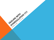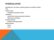## DYSREGULATION

Descriptive term: ups, downs, impulsivity, anger, poor modulation of affect…

**PTSD** 

Psychotic illness

Schizophrenia, depression, bipolar

**Intoxications** 

Alcohol; Meth; mixtures; prescribed medications

High levels and withdrawal

Personality disorders

Borderline Personality Disorder

Medical illnesses

thyroid

tumors

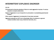# INTERMITTENT EXPLOSIVE DISORDER

#### 312.34

- Characterized by discrete episodes of failure to resist aggressive impulses  $\rightarrow$  serious assaults or property destruction.
- Degree of aggression is out of proportion to provocation or precipitating psychosocial stressor.
- Other causes of aggression (including Axis II) have been excluded.
- Aggressive episodes are NOT due to physiologic effect of substance or general medical condition (brain injury; Alzheimer dementia, etc.).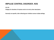## IMPULSE CONTROL DISORDER, NOS

312.30

Category for disorders of impulse control not met by other descriptors.

Generally non-specific, often reflecting poor inhibition across multiple settings.

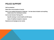## POLICE SUPPORT

Call for protection.

Need clear communication of events.

Have a non-medical framework of response – be clear about situation and anything helpful about the individuals involved.

Community Intensive Training (CIT).

Specific training in mental health and DD issues.

Aware of inability of people to respond.

Experience and background are varied.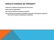## SHOULD CHARGES BE PRESSED?

People who understand consequences of their actions.

Social rules and expectations.

Dementia and delirium are absolute exceptions.

Risk of jail time and increased vulnerability in population with cognitive impairment; risk of lack of access to maintenance medications.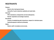## **RESTRAINTS**

Physical

Mandt, other training techniques

Handcuffs, 5-point restraints; seatbelts and waist belts.

**Chemical** 

PRN medications; antipsychotic and benzodiazepines.

Monitor respirations and allergic reactions.

**Boundaries** 

Practice of establishing safe interactions, respect for individual space.

Psychotherapeutic treatment philosophy.

**Safety** 

Patient; staff; immediate environments.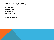## WHAT ARE OUR GOALS?

Diffuse situation?

Restrain an individual?

Establish trust?

Elicit cooperation?

Support or Control ????